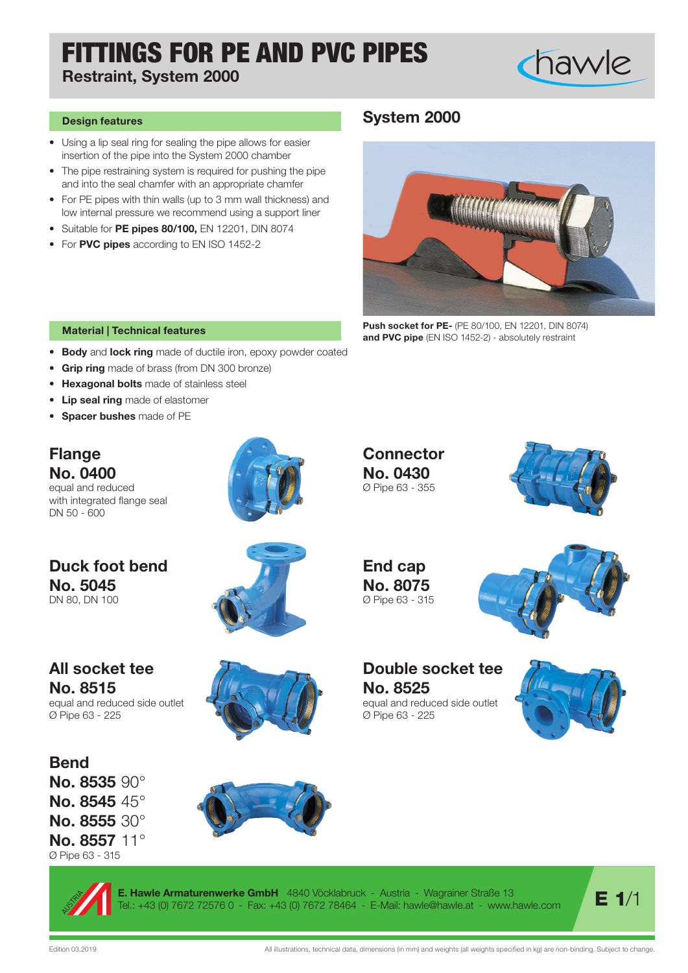# FITTINGS FOR PE AND PVC PIPES

Restraint, System 2000

• Using a lip seal ring for sealing the pipe allows for easier insertion of the pipe into the System 2000 chamber

and into the seal chamfer with an appropriate chamfer

• Suitable for PE pipes 80/100, EN 12201, DIN 8074

• For PVC pipes according to EN ISO 1452-2

Design features

## System 2000



Push socket for PE- (PE 80/100, EN 12201, DIN 8074) and PVC pipe (EN ISO 1452-2) - absolutely restraint

### Material | Technical features

- Body and lock ring made of ductile iron, epoxy powder coated
- Grip ring made of brass (from DN 300 bronze)
- Hexagonal bolts made of stainless steel
- Lip seal ring made of elastomer
- Spacer bushes made of PE

### Flange No. 0400

No. 5045 DN 80, DN 100

equal and reduced with integrated flange seal DN 50 - 600

Duck foot bend



**Connector** No. 0430 Ø Pipe 63 - 355



chawle

End cap No. 8075 Ø Pipe 63 - 315



### Double socket tee No. 8525

equal and reduced side outlet Ø Pipe 63 - 225



No. 8515 equal and reduced side outlet Ø Pipe 63 - 225

All socket tee



**Bend** No. 8535 90° No. 8545 45° No. 8555 30° No. 8557 11° Ø Pipe 63 - 315



E. Hawle Armaturenwerke GmbH 4840 Vöcklabruck - Austria - Wagrainer Straße 13 **E. Hawle Armaturenwerke GmbH** 4840 Vocklabruck - Austria - Wagrainer Straße 13<br>[el.: +43 (0) 7672 72576 0 - Fax: +43 (0) 7672 78464 - E-Mail: hawle@hawle.at - www.hawle.com **/ E 1/1**